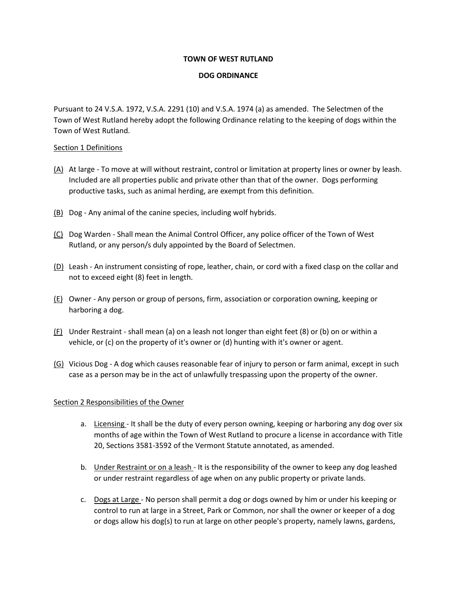### **TOWN OF WEST RUTLAND**

# **DOG ORDINANCE**

Pursuant to 24 V.S.A. 1972, V.S.A. 2291 (10) and V.S.A. 1974 (a) as amended. The Selectmen of the Town of West Rutland hereby adopt the following Ordinance relating to the keeping of dogs within the Town of West Rutland.

### Section 1 Definitions

- (A) At large To move at will without restraint, control or limitation at property lines or owner by leash. Included are all properties public and private other than that of the owner. Dogs performing productive tasks, such as animal herding, are exempt from this definition.
- (B) Dog Any animal of the canine species, including wolf hybrids.
- (C) Dog Warden Shall mean the Animal Control Officer, any police officer of the Town of West Rutland, or any person/s duly appointed by the Board of Selectmen.
- (D) Leash An instrument consisting of rope, leather, chain, or cord with a fixed clasp on the collar and not to exceed eight (8) feet in length.
- $(E)$  Owner Any person or group of persons, firm, association or corporation owning, keeping or harboring a dog.
- $(F)$  Under Restraint shall mean (a) on a leash not longer than eight feet (8) or (b) on or within a vehicle, or (c) on the property of it's owner or (d) hunting with it's owner or agent.
- (G) Vicious Dog A dog which causes reasonable fear of injury to person or farm animal, except in such case as a person may be in the act of unlawfully trespassing upon the property of the owner.

# Section 2 Responsibilities of the Owner

- a. Licensing It shall be the duty of every person owning, keeping or harboring any dog over six months of age within the Town of West Rutland to procure a license in accordance with Title 20, Sections 3581-3592 of the Vermont Statute annotated, as amended.
- b. Under Restraint or on a leash It is the responsibility of the owner to keep any dog leashed or under restraint regardless of age when on any public property or private lands.
- c. Dogs at Large No person shall permit a dog or dogs owned by him or under his keeping or control to run at large in a Street, Park or Common, nor shall the owner or keeper of a dog or dogs allow his dog(s) to run at large on other people's property, namely lawns, gardens,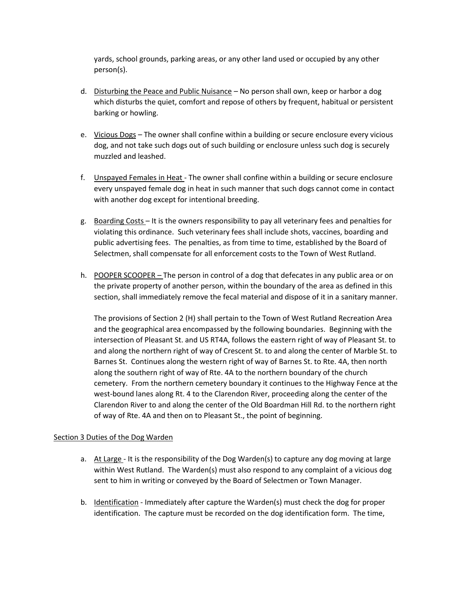yards, school grounds, parking areas, or any other land used or occupied by any other person(s).

- d. Disturbing the Peace and Public Nuisance No person shall own, keep or harbor a dog which disturbs the quiet, comfort and repose of others by frequent, habitual or persistent barking or howling.
- e. Vicious Dogs The owner shall confine within a building or secure enclosure every vicious dog, and not take such dogs out of such building or enclosure unless such dog is securely muzzled and leashed.
- f. Unspayed Females in Heat The owner shall confine within a building or secure enclosure every unspayed female dog in heat in such manner that such dogs cannot come in contact with another dog except for intentional breeding.
- g. Boarding Costs It is the owners responsibility to pay all veterinary fees and penalties for violating this ordinance. Such veterinary fees shall include shots, vaccines, boarding and public advertising fees. The penalties, as from time to time, established by the Board of Selectmen, shall compensate for all enforcement costs to the Town of West Rutland.
- h. POOPER SCOOPER *–* The person in control of a dog that defecates in any public area or on the private property of another person, within the boundary of the area as defined in this section, shall immediately remove the fecal material and dispose of it in a sanitary manner.

The provisions of Section 2 (H) shall pertain to the Town of West Rutland Recreation Area and the geographical area encompassed by the following boundaries. Beginning with the intersection of Pleasant St. and US RT4A, follows the eastern right of way of Pleasant St. to and along the northern right of way of Crescent St. to and along the center of Marble St. to Barnes St. Continues along the western right of way of Barnes St. to Rte. 4A, then north along the southern right of way of Rte. 4A to the northern boundary of the church cemetery. From the northern cemetery boundary it continues to the Highway Fence at the west-bound lanes along Rt. 4 to the Clarendon River, proceeding along the center of the Clarendon River to and along the center of the Old Boardman Hill Rd. to the northern right of way of Rte. 4A and then on to Pleasant St., the point of beginning.

### Section 3 Duties of the Dog Warden

- a. At Large It is the responsibility of the Dog Warden(s) to capture any dog moving at large within West Rutland. The Warden(s) must also respond to any complaint of a vicious dog sent to him in writing or conveyed by the Board of Selectmen or Town Manager.
- b. Identification Immediately after capture the Warden(s) must check the dog for proper identification. The capture must be recorded on the dog identification form. The time,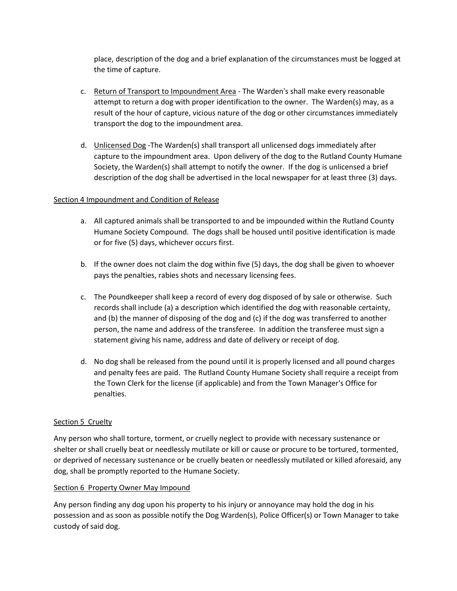place, description of the dog and a brief explanation of the circumstances must be logged at the time of capture.

- c. Return of Transport to Impoundment Area The Warden's shall make every reasonable attempt to return a dog with proper identification to the owner. The Warden(s) may, as a result of the hour of capture, vicious nature of the dog or other circumstances immediately transport the dog to the impoundment area.
- d. Unlicensed Dog -The Warden(s) shall transport all unlicensed dogs immediately after capture to the impoundment area. Upon delivery of the dog to the Rutland County Humane Society, the Warden(s) shall attempt to notify the owner. If the dog is unlicensed a brief description of the dog shall be advertised in the local newspaper for at least three (3) days.

# Section 4 Impoundment and Condition of Release

- a. All captured animals shall be transported to and be impounded within the Rutland County Humane Society Compound. The dogs shall be housed until positive identification is made or for five (5) days, whichever occurs first.
- b. If the owner does not claim the dog within five (5) days, the dog shall be given to whoever pays the penalties, rabies shots and necessary licensing fees.
- c. The Poundkeeper shall keep a record of every dog disposed of by sale or otherwise. Such records shall include (a) a description which identified the dog with reasonable certainty, and (b) the manner of disposing of the dog and (c) if the dog was transferred to another person, the name and address of the transferee. In addition the transferee must sign a statement giving his name, address and date of delivery or receipt of dog.
- d. No dog shall be released from the pound until it is properly licensed and all pound charges and penalty fees are paid. The Rutland County Humane Society shall require a receipt from the Town Clerk for the license (if applicable) and from the Town Manager's Office for penalties.

### Section 5 Cruelty

Any person who shall torture, torment, or cruelly neglect to provide with necessary sustenance or shelter or shall cruelly beat or needlessly mutilate or kill or cause or procure to be tortured, tormented, or deprived of necessary sustenance or be cruelly beaten or needlessly mutilated or killed aforesaid, any dog, shall be promptly reported to the Humane Society.

### Section 6 Property Owner May Impound

Any person finding any dog upon his property to his injury or annoyance may hold the dog in his possession and as soon as possible notify the Dog Warden(s), Police Officer(s) or Town Manager to take custody of said dog.